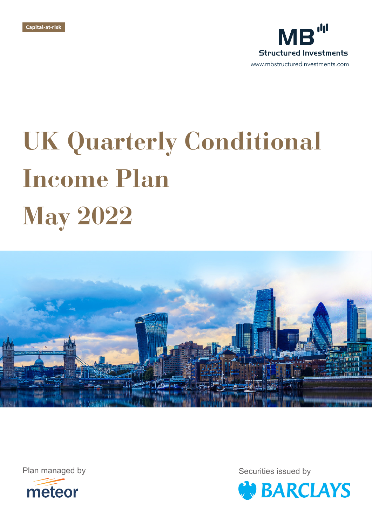



# **UK Quarterly Conditional Income Plan May 2022**





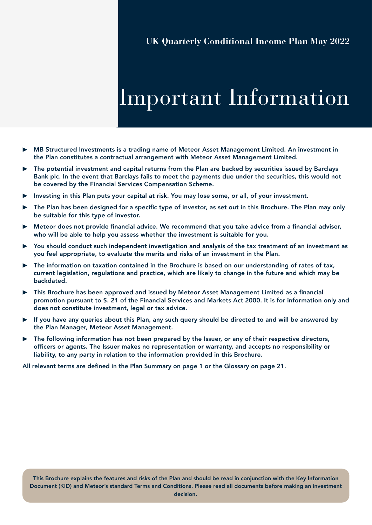## Important Information

- ▶ MB Structured Investments is a trading name of Meteor Asset Management Limited. An investment in the Plan constitutes a contractual arrangement with Meteor Asset Management Limited.
- ▶ The potential investment and capital returns from the Plan are backed by securities issued by Barclays Bank plc. In the event that Barclays fails to meet the payments due under the securities, this would not be covered by the Financial Services Compensation Scheme.
- ▶ Investing in this Plan puts your capital at risk. You may lose some, or all, of your investment.
- ▶ The Plan has been designed for a specific type of investor, as set out in this Brochure. The Plan may only be suitable for this type of investor.
- ▶ Meteor does not provide financial advice. We recommend that you take advice from a financial adviser, who will be able to help you assess whether the investment is suitable for you.
- ▶ You should conduct such independent investigation and analysis of the tax treatment of an investment as you feel appropriate, to evaluate the merits and risks of an investment in the Plan.
- The information on taxation contained in the Brochure is based on our understanding of rates of tax, current legislation, regulations and practice, which are likely to change in the future and which may be backdated.
- ▶ This Brochure has been approved and issued by Meteor Asset Management Limited as a financial promotion pursuant to S. 21 of the Financial Services and Markets Act 2000. It is for information only and does not constitute investment, legal or tax advice.
- ▶ If you have any queries about this Plan, any such query should be directed to and will be answered by the Plan Manager, Meteor Asset Management.
- $\triangleright$  The following information has not been prepared by the Issuer, or any of their respective directors, officers or agents. The Issuer makes no representation or warranty, and accepts no responsibility or liability, to any party in relation to the information provided in this Brochure.

All relevant terms are defined in the Plan Summary on page 1 or the Glossary on page 21.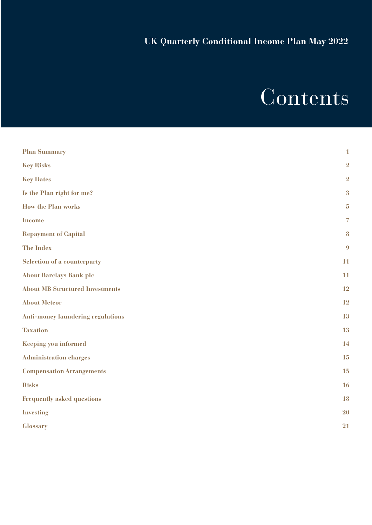## Contents

| <b>Plan Summary</b>                      | $\mathbf{1}$             |
|------------------------------------------|--------------------------|
| <b>Key Risks</b>                         | $\overline{2}$           |
| <b>Key Dates</b>                         | $\overline{2}$           |
| Is the Plan right for me?                | 3                        |
| <b>How the Plan works</b>                | $\overline{5}$           |
| <b>Income</b>                            | $\overline{\mathcal{L}}$ |
| <b>Repayment of Capital</b>              | 8                        |
| <b>The Index</b>                         | 9                        |
| <b>Selection of a counterparty</b>       | 11                       |
| <b>About Barclays Bank plc</b>           | 11                       |
| <b>About MB Structured Investments</b>   | 12                       |
| <b>About Meteor</b>                      | 12                       |
| <b>Anti-money laundering regulations</b> | 13                       |
| <b>Taxation</b>                          | 13                       |
| <b>Keeping you informed</b>              | 14                       |
| <b>Administration charges</b>            | 15                       |
| <b>Compensation Arrangements</b>         | 15                       |
| <b>Risks</b>                             | 16                       |
| <b>Frequently asked questions</b>        | 18                       |
| <b>Investing</b>                         | 20                       |
| <b>Glossary</b>                          | 21                       |
|                                          |                          |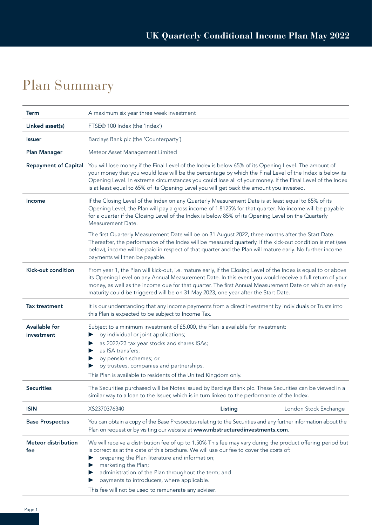### Plan Summary

| <b>Term</b>                       | A maximum six year three week investment                                                                                                                                                                                                                                                                                                                                                                                                   |                       |  |  |
|-----------------------------------|--------------------------------------------------------------------------------------------------------------------------------------------------------------------------------------------------------------------------------------------------------------------------------------------------------------------------------------------------------------------------------------------------------------------------------------------|-----------------------|--|--|
| Linked asset(s)                   | FTSE® 100 Index (the 'Index')                                                                                                                                                                                                                                                                                                                                                                                                              |                       |  |  |
| <b>Issuer</b>                     | Barclays Bank plc (the 'Counterparty')                                                                                                                                                                                                                                                                                                                                                                                                     |                       |  |  |
| <b>Plan Manager</b>               | Meteor Asset Management Limited                                                                                                                                                                                                                                                                                                                                                                                                            |                       |  |  |
| <b>Repayment of Capital</b>       | You will lose money if the Final Level of the Index is below 65% of its Opening Level. The amount of<br>your money that you would lose will be the percentage by which the Final Level of the Index is below its<br>Opening Level. In extreme circumstances you could lose all of your money. If the Final Level of the Index<br>is at least equal to 65% of its Opening Level you will get back the amount you invested.                  |                       |  |  |
| Income                            | If the Closing Level of the Index on any Quarterly Measurement Date is at least equal to 85% of its<br>Opening Level, the Plan will pay a gross income of 1.8125% for that quarter. No income will be payable<br>for a quarter if the Closing Level of the Index is below 85% of its Opening Level on the Quarterly<br>Measurement Date.                                                                                                   |                       |  |  |
|                                   | The first Quarterly Measurement Date will be on 31 August 2022, three months after the Start Date.<br>Thereafter, the performance of the Index will be measured quarterly. If the kick-out condition is met (see<br>below), income will be paid in respect of that quarter and the Plan will mature early. No further income<br>payments will then be payable.                                                                             |                       |  |  |
| Kick-out condition                | From year 1, the Plan will kick-out, i.e. mature early, if the Closing Level of the Index is equal to or above<br>its Opening Level on any Annual Measurement Date. In this event you would receive a full return of your<br>money, as well as the income due for that quarter. The first Annual Measurement Date on which an early<br>maturity could be triggered will be on 31 May 2023, one year after the Start Date.                  |                       |  |  |
| <b>Tax treatment</b>              | It is our understanding that any income payments from a direct investment by individuals or Trusts into<br>this Plan is expected to be subject to Income Tax.                                                                                                                                                                                                                                                                              |                       |  |  |
| Available for<br>investment       | Subject to a minimum investment of £5,000, the Plan is available for investment:<br>by individual or joint applications;<br>as 2022/23 tax year stocks and shares ISAs;<br>as ISA transfers;<br>by pension schemes; or<br>by trustees, companies and partnerships.<br>This Plan is available to residents of the United Kingdom only.                                                                                                      |                       |  |  |
| <b>Securities</b>                 | The Securities purchased will be Notes issued by Barclays Bank plc. These Securities can be viewed in a<br>similar way to a loan to the Issuer, which is in turn linked to the performance of the Index.                                                                                                                                                                                                                                   |                       |  |  |
| <b>ISIN</b>                       | XS2370376340<br>Listing                                                                                                                                                                                                                                                                                                                                                                                                                    | London Stock Exchange |  |  |
| <b>Base Prospectus</b>            | You can obtain a copy of the Base Prospectus relating to the Securities and any further information about the<br>Plan on request or by visiting our website at www.mbstructuredinvestments.com.                                                                                                                                                                                                                                            |                       |  |  |
| <b>Meteor distribution</b><br>fee | We will receive a distribution fee of up to 1.50% This fee may vary during the product offering period but<br>is correct as at the date of this brochure. We will use our fee to cover the costs of:<br>preparing the Plan literature and information;<br>marketing the Plan;<br>administration of the Plan throughout the term; and<br>payments to introducers, where applicable.<br>This fee will not be used to remunerate any adviser. |                       |  |  |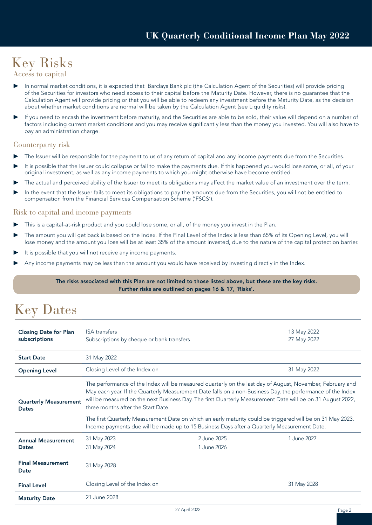### Key Risks

Access to capital

- In normal market conditions, it is expected that Barclays Bank plc (the Calculation Agent of the Securities) will provide pricing of the Securities for investors who need access to their capital before the Maturity Date. However, there is no guarantee that the Calculation Agent will provide pricing or that you will be able to redeem any investment before the Maturity Date, as the decision about whether market conditions are normal will be taken by the Calculation Agent (see Liquidity risks).
- If you need to encash the investment before maturity, and the Securities are able to be sold, their value will depend on a number of factors including current market conditions and you may receive significantly less than the money you invested. You will also have to pay an administration charge.

#### Counterparty risk

- The Issuer will be responsible for the payment to us of any return of capital and any income payments due from the Securities.
- It is possible that the Issuer could collapse or fail to make the payments due. If this happened you would lose some, or all, of your original investment, as well as any income payments to which you might otherwise have become entitled.
- The actual and perceived ability of the Issuer to meet its obligations may affect the market value of an investment over the term.
- In the event that the Issuer fails to meet its obligations to pay the amounts due from the Securities, you will not be entitled to compensation from the Financial Services Compensation Scheme ('FSCS').

#### Risk to capital and income payments

- This is a capital-at-risk product and you could lose some, or all, of the money you invest in the Plan.
- The amount you will get back is based on the Index. If the Final Level of the Index is less than 65% of its Opening Level, you will lose money and the amount you lose will be at least 35% of the amount invested, due to the nature of the capital protection barrier.
- It is possible that you will not receive any income payments.
- Any income payments may be less than the amount you would have received by investing directly in the Index.

#### The risks associated with this Plan are not limited to those listed above, but these are the key risks. Further risks are outlined on pages 16 & 17, 'Risks'.

### Key Dates

| <b>Closing Date for Plan</b><br>subscriptions | <b>ISA</b> transfers<br>Subscriptions by cheque or bank transfers                                                                                                                                                                                                                                                                                                                                           | 13 May 2022<br>27 May 2022 |             |  |  |
|-----------------------------------------------|-------------------------------------------------------------------------------------------------------------------------------------------------------------------------------------------------------------------------------------------------------------------------------------------------------------------------------------------------------------------------------------------------------------|----------------------------|-------------|--|--|
| <b>Start Date</b>                             | 31 May 2022                                                                                                                                                                                                                                                                                                                                                                                                 |                            |             |  |  |
| <b>Opening Level</b>                          | Closing Level of the Index on<br>31 May 2022                                                                                                                                                                                                                                                                                                                                                                |                            |             |  |  |
| <b>Dates</b>                                  | The performance of the Index will be measured quarterly on the last day of August, November, February and<br>May each year. If the Quarterly Measurement Date falls on a non-Business Day, the performance of the Index<br>will be measured on the next Business Day. The first Quarterly Measurement Date will be on 31 August 2022,<br><b>Quarterly Measurement</b><br>three months after the Start Date. |                            |             |  |  |
|                                               | The first Quarterly Measurement Date on which an early maturity could be triggered will be on 31 May 2023.<br>Income payments due will be made up to 15 Business Days after a Quarterly Measurement Date.                                                                                                                                                                                                   |                            |             |  |  |
| <b>Annual Measurement</b><br><b>Dates</b>     | 31 May 2023<br>31 May 2024                                                                                                                                                                                                                                                                                                                                                                                  | 2 June 2025<br>1 June 2026 | 1.June 2027 |  |  |
| <b>Final Measurement</b><br>Date              | 31 May 2028                                                                                                                                                                                                                                                                                                                                                                                                 |                            |             |  |  |
| <b>Final Level</b>                            | Closing Level of the Index on                                                                                                                                                                                                                                                                                                                                                                               |                            | 31 May 2028 |  |  |
| <b>Maturity Date</b>                          | 21 June 2028                                                                                                                                                                                                                                                                                                                                                                                                |                            |             |  |  |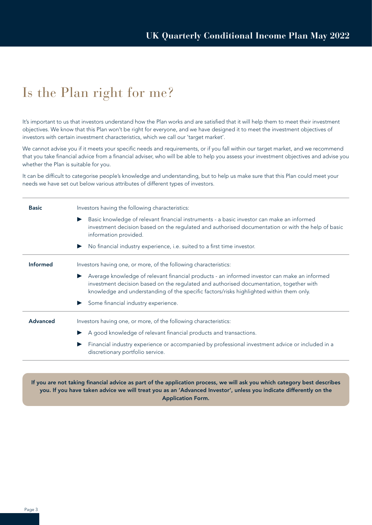### Is the Plan right for me?

It's important to us that investors understand how the Plan works and are satisfied that it will help them to meet their investment objectives. We know that this Plan won't be right for everyone, and we have designed it to meet the investment objectives of investors with certain investment characteristics, which we call our 'target market'.

We cannot advise you if it meets your specific needs and requirements, or if you fall within our target market, and we recommend that you take financial advice from a financial adviser, who will be able to help you assess your investment objectives and advise you whether the Plan is suitable for you.

It can be difficult to categorise people's knowledge and understanding, but to help us make sure that this Plan could meet your needs we have set out below various attributes of different types of investors.

| <b>Basic</b>    | Investors having the following characteristics:                                                                                                                                                                                                                                        |
|-----------------|----------------------------------------------------------------------------------------------------------------------------------------------------------------------------------------------------------------------------------------------------------------------------------------|
|                 | Basic knowledge of relevant financial instruments - a basic investor can make an informed<br>$\blacktriangleright$<br>investment decision based on the regulated and authorised documentation or with the help of basic<br>information provided.                                       |
|                 | No financial industry experience, i.e. suited to a first time investor.<br>$\blacktriangleright$                                                                                                                                                                                       |
| <b>Informed</b> | Investors having one, or more, of the following characteristics:                                                                                                                                                                                                                       |
|                 | Average knowledge of relevant financial products - an informed investor can make an informed<br>▶<br>investment decision based on the regulated and authorised documentation, together with<br>knowledge and understanding of the specific factors/risks highlighted within them only. |
|                 | Some financial industry experience.                                                                                                                                                                                                                                                    |
| <b>Advanced</b> | Investors having one, or more, of the following characteristics:                                                                                                                                                                                                                       |
|                 | A good knowledge of relevant financial products and transactions.                                                                                                                                                                                                                      |
|                 | Financial industry experience or accompanied by professional investment advice or included in a<br>discretionary portfolio service.                                                                                                                                                    |
|                 |                                                                                                                                                                                                                                                                                        |

If you are not taking financial advice as part of the application process, we will ask you which category best describes you. If you have taken advice we will treat you as an 'Advanced Investor', unless you indicate differently on the Application Form.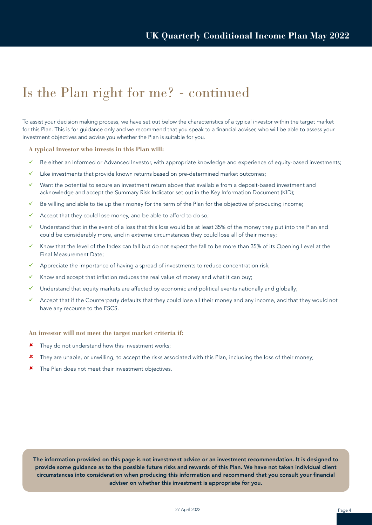### Is the Plan right for me? - continued

To assist your decision making process, we have set out below the characteristics of a typical investor within the target market for this Plan. This is for guidance only and we recommend that you speak to a financial adviser, who will be able to assess your investment objectives and advise you whether the Plan is suitable for you.

**A typical investor who invests in this Plan will:**

- $\checkmark$  Be either an Informed or Advanced Investor, with appropriate knowledge and experience of equity-based investments;
- Like investments that provide known returns based on pre-determined market outcomes;
- ü Want the potential to secure an investment return above that available from a deposit-based investment and acknowledge and accept the Summary Risk Indicator set out in the Key Information Document (KID);
- $\checkmark$  Be willing and able to tie up their money for the term of the Plan for the objective of producing income;
- $\checkmark$  Accept that they could lose money, and be able to afford to do so;
- ü Understand that in the event of a loss that this loss would be at least 35% of the money they put into the Plan and could be considerably more, and in extreme circumstances they could lose all of their money;
- Know that the level of the Index can fall but do not expect the fall to be more than 35% of its Opening Level at the Final Measurement Date;
- Appreciate the importance of having a spread of investments to reduce concentration risk;
- Know and accept that inflation reduces the real value of money and what it can buy;
- Understand that equity markets are affected by economic and political events nationally and globally;
- $\checkmark$  Accept that if the Counterparty defaults that they could lose all their money and any income, and that they would not have any recourse to the FSCS.

**An investor will not meet the target market criteria if:**

- \* They do not understand how this investment works;
- \* They are unable, or unwilling, to accept the risks associated with this Plan, including the loss of their money;
- **\*** The Plan does not meet their investment objectives.

The information provided on this page is not investment advice or an investment recommendation. It is designed to provide some guidance as to the possible future risks and rewards of this Plan. We have not taken individual client circumstances into consideration when producing this information and recommend that you consult your financial adviser on whether this investment is appropriate for you.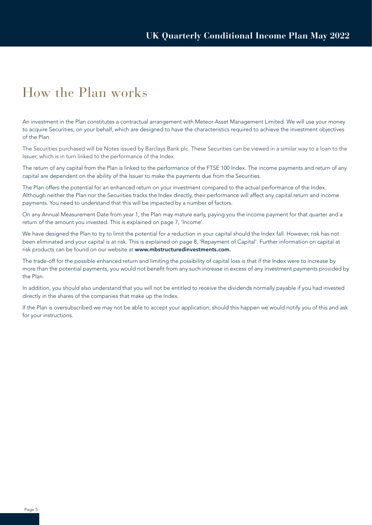### How the Plan works

An investment in the Plan constitutes a contractual arrangement with Meteor Asset Management Limited. We will use your money to acquire Securities, on your behalf, which are designed to have the characteristics required to achieve the investment objectives of the Plan.

The Securities purchased will be Notes issued by Barclays Bank plc. These Securities can be viewed in a similar way to a loan to the Issuer, which is in turn linked to the performance of the Index.

The return of any capital from the Plan is linked to the performance of the FTSE 100 Index. The income payments and return of any capital are dependent on the ability of the Issuer to make the payments due from the Securities.

The Plan offers the potential for an enhanced return on your investment compared to the actual performance of the Index. Although neither the Plan nor the Securities tracks the Index directly, their performance will affect any capital return and income payments. You need to understand that this will be impacted by a number of factors.

On any Annual Measurement Date from year 1, the Plan may mature early, paying you the income payment for that quarter and a return of the amount you invested. This is explained on page 7, 'Income'.

We have designed the Plan to try to limit the potential for a reduction in your capital should the Index fall. However, risk has not been eliminated and your capital is at risk. This is explained on page 8, 'Repayment of Capital'. Further information on capital at risk products can be found on our website at www.mbstructuredinvestments.com.

The trade-off for the possible enhanced return and limiting the possibility of capital loss is that if the Index were to increase by more than the potential payments, you would not benefit from any such increase in excess of any investment payments provided by the Plan.

In addition, you should also understand that you will not be entitled to receive the dividends normally payable if you had invested directly in the shares of the companies that make up the Index.

If the Plan is oversubscribed we may not be able to accept your application; should this happen we would notify you of this and ask for your instructions.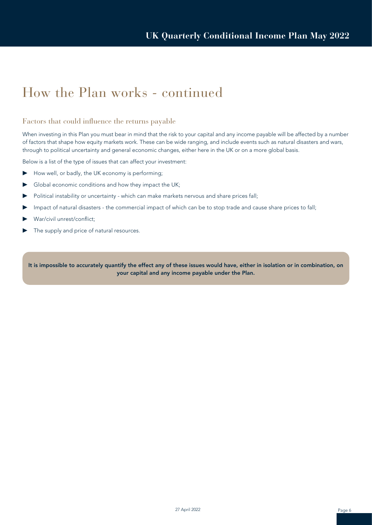### How the Plan works - continued

#### Factors that could influence the returns payable

When investing in this Plan you must bear in mind that the risk to your capital and any income payable will be affected by a number of factors that shape how equity markets work. These can be wide ranging, and include events such as natural disasters and wars, through to political uncertainty and general economic changes, either here in the UK or on a more global basis.

Below is a list of the type of issues that can affect your investment:

- ▶ How well, or badly, the UK economy is performing;
- ▶ Global economic conditions and how they impact the UK;
- ▶ Political instability or uncertainty which can make markets nervous and share prices fall;
- ▶ Impact of natural disasters the commercial impact of which can be to stop trade and cause share prices to fall;
- War/civil unrest/conflict;
- The supply and price of natural resources.

It is impossible to accurately quantify the effect any of these issues would have, either in isolation or in combination, on your capital and any income payable under the Plan.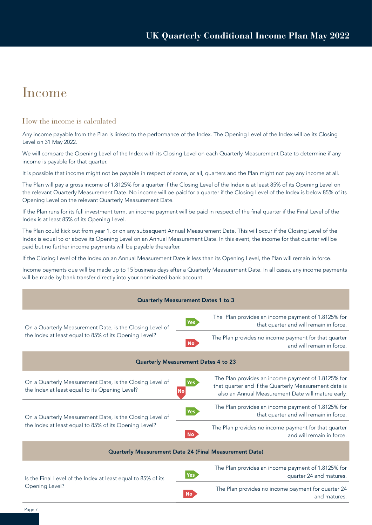### Income

#### How the income is calculated

Any income payable from the Plan is linked to the performance of the Index. The Opening Level of the Index will be its Closing Level on 31 May 2022.

We will compare the Opening Level of the Index with its Closing Level on each Quarterly Measurement Date to determine if any income is payable for that quarter.

It is possible that income might not be payable in respect of some, or all, quarters and the Plan might not pay any income at all.

The Plan will pay a gross income of 1.8125% for a quarter if the Closing Level of the Index is at least 85% of its Opening Level on the relevant Quarterly Measurement Date. No income will be paid for a quarter if the Closing Level of the Index is below 85% of its Opening Level on the relevant Quarterly Measurement Date.

If the Plan runs for its full investment term, an income payment will be paid in respect of the final quarter if the Final Level of the Index is at least 85% of its Opening Level.

The Plan could kick out from year 1, or on any subsequent Annual Measurement Date. This will occur if the Closing Level of the Index is equal to or above its Opening Level on an Annual Measurement Date. In this event, the income for that quarter will be paid but no further income payments will be payable thereafter.

If the Closing Level of the Index on an Annual Measurement Date is less than its Opening Level, the Plan will remain in force.

Income payments due will be made up to 15 business days after a Quarterly Measurement Date. In all cases, any income payments will be made by bank transfer directly into your nominated bank account.

| <b>Quarterly Measurement Dates 1 to 3</b>                                                                  |                                                                                                                                                                                              |  |  |  |  |
|------------------------------------------------------------------------------------------------------------|----------------------------------------------------------------------------------------------------------------------------------------------------------------------------------------------|--|--|--|--|
| On a Quarterly Measurement Date, is the Closing Level of                                                   | The Plan provides an income payment of 1.8125% for<br>Yes<br>that quarter and will remain in force.                                                                                          |  |  |  |  |
| the Index at least equal to 85% of its Opening Level?                                                      | The Plan provides no income payment for that quarter<br><b>No</b><br>and will remain in force.                                                                                               |  |  |  |  |
| <b>Quarterly Measurement Dates 4 to 23</b>                                                                 |                                                                                                                                                                                              |  |  |  |  |
| On a Quarterly Measurement Date, is the Closing Level of<br>the Index at least equal to its Opening Level? | The Plan provides an income payment of 1.8125% for<br><b>Yes</b><br>that quarter and if the Quarterly Measurement date is<br><b>NO</b><br>also an Annual Measurement Date will mature early. |  |  |  |  |
| On a Quarterly Measurement Date, is the Closing Level of                                                   | The Plan provides an income payment of 1.8125% for<br><b>Yes</b><br>that quarter and will remain in force.                                                                                   |  |  |  |  |
| the Index at least equal to 85% of its Opening Level?                                                      | The Plan provides no income payment for that quarter<br><b>No</b><br>and will remain in force.                                                                                               |  |  |  |  |
| <b>Quarterly Measurement Date 24 (Final Measurement Date)</b>                                              |                                                                                                                                                                                              |  |  |  |  |
| Is the Final Level of the Index at least equal to 85% of its                                               | The Plan provides an income payment of 1.8125% for<br><b>Yes</b><br>quarter 24 and matures.                                                                                                  |  |  |  |  |
| Opening Level?                                                                                             | The Plan provides no income payment for quarter 24<br>No<br>and matures.                                                                                                                     |  |  |  |  |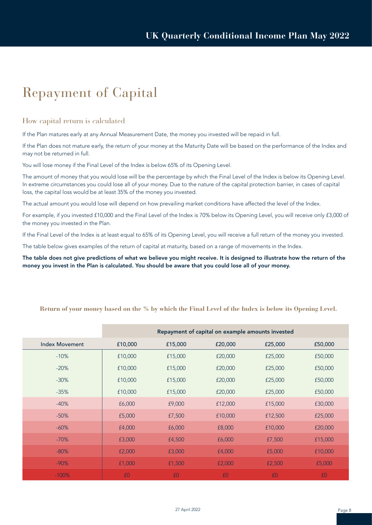### Repayment of Capital

#### How capital return is calculated

If the Plan matures early at any Annual Measurement Date, the money you invested will be repaid in full.

If the Plan does not mature early, the return of your money at the Maturity Date will be based on the performance of the Index and may not be returned in full.

You will lose money if the Final Level of the Index is below 65% of its Opening Level.

The amount of money that you would lose will be the percentage by which the Final Level of the Index is below its Opening Level. In extreme circumstances you could lose all of your money. Due to the nature of the capital protection barrier, in cases of capital loss, the capital loss would be at least 35% of the money you invested.

The actual amount you would lose will depend on how prevailing market conditions have affected the level of the Index.

For example, if you invested £10,000 and the Final Level of the Index is 70% below its Opening Level, you will receive only £3,000 of the money you invested in the Plan.

If the Final Level of the Index is at least equal to 65% of its Opening Level, you will receive a full return of the money you invested.

The table below gives examples of the return of capital at maturity, based on a range of movements in the Index.

The table does not give predictions of what we believe you might receive. It is designed to illustrate how the return of the money you invest in the Plan is calculated. You should be aware that you could lose all of your money.

|                       | Repayment of capital on example amounts invested |         |         |         |         |
|-----------------------|--------------------------------------------------|---------|---------|---------|---------|
| <b>Index Movement</b> | £10,000                                          | £15,000 | £20,000 | £25,000 | £50,000 |
| $-10%$                | £10,000                                          | £15,000 | £20,000 | £25,000 | £50,000 |
| $-20%$                | £10,000                                          | £15,000 | £20,000 | £25,000 | £50,000 |
| $-30%$                | £10,000                                          | £15,000 | £20,000 | £25,000 | £50,000 |
| $-35%$                | £10,000                                          | £15,000 | £20,000 | £25,000 | £50,000 |
| $-40%$                | £6,000                                           | £9,000  | £12,000 | £15,000 | £30,000 |
| $-50%$                | £5,000                                           | £7,500  | £10,000 | £12,500 | £25,000 |
| $-60%$                | £4,000                                           | £6,000  | £8,000  | £10,000 | £20,000 |
| $-70%$                | £3,000                                           | £4,500  | £6,000  | £7,500  | £15,000 |
| $-80%$                | £2,000                                           | £3,000  | £4,000  | £5,000  | £10,000 |
| $-90%$                | £1,000                                           | £1,500  | £2,000  | £2,500  | £5,000  |
| $-100%$               | £0                                               | £0      | £0      | £0      | £0      |

#### **Return of your money based on the % by which the Final Level of the Index is below its Opening Level.**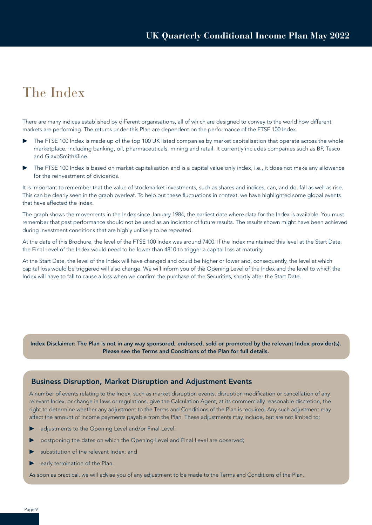### The Index

There are many indices established by different organisations, all of which are designed to convey to the world how different markets are performing. The returns under this Plan are dependent on the performance of the FTSE 100 Index.

- The FTSE 100 Index is made up of the top 100 UK listed companies by market capitalisation that operate across the whole marketplace, including banking, oil, pharmaceuticals, mining and retail. It currently includes companies such as BP, Tesco and GlaxoSmithKline.
- The FTSE 100 Index is based on market capitalisation and is a capital value only index, i.e., it does not make any allowance for the reinvestment of dividends.

It is important to remember that the value of stockmarket investments, such as shares and indices, can, and do, fall as well as rise. This can be clearly seen in the graph overleaf. To help put these fluctuations in context, we have highlighted some global events that have affected the Index.

The graph shows the movements in the Index since January 1984, the earliest date where data for the Index is available. You must remember that past performance should not be used as an indicator of future results. The results shown might have been achieved during investment conditions that are highly unlikely to be repeated.

At the date of this Brochure, the level of the FTSE 100 Index was around 7400. If the Index maintained this level at the Start Date, the Final Level of the Index would need to be lower than 4810 to trigger a capital loss at maturity.

At the Start Date, the level of the Index will have changed and could be higher or lower and, consequently, the level at which capital loss would be triggered will also change. We will inform you of the Opening Level of the Index and the level to which the Index will have to fall to cause a loss when we confirm the purchase of the Securities, shortly after the Start Date.

Index Disclaimer: The Plan is not in any way sponsored, endorsed, sold or promoted by the relevant Index provider(s). Please see the Terms and Conditions of the Plan for full details.

#### Business Disruption, Market Disruption and Adjustment Events

A number of events relating to the Index, such as market disruption events, disruption modification or cancellation of any relevant Index, or change in laws or regulations, give the Calculation Agent, at its commercially reasonable discretion, the right to determine whether any adjustment to the Terms and Conditions of the Plan is required. Any such adjustment may affect the amount of income payments payable from the Plan. These adjustments may include, but are not limited to:

- adjustments to the Opening Level and/or Final Level;
- postponing the dates on which the Opening Level and Final Level are observed;
- substitution of the relevant Index; and
- early termination of the Plan.

As soon as practical, we will advise you of any adjustment to be made to the Terms and Conditions of the Plan.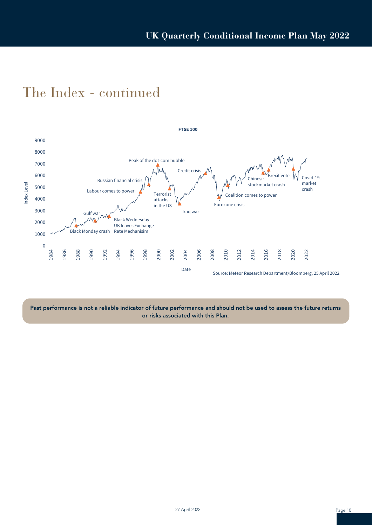

### The Index - continued

Past performance is not a reliable indicator of future performance and should not be used to assess the future returns or risks associated with this Plan.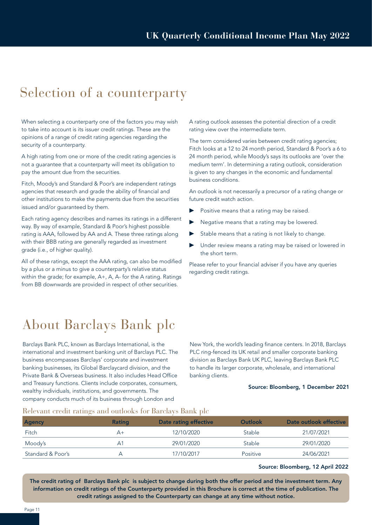### Selection of a counterparty

When selecting a counterparty one of the factors you may wish to take into account is its issuer credit ratings. These are the opinions of a range of credit rating agencies regarding the security of a counterparty.

A high rating from one or more of the credit rating agencies is not a guarantee that a counterparty will meet its obligation to pay the amount due from the securities.

Fitch, Moody's and Standard & Poor's are independent ratings agencies that research and grade the ability of financial and other institutions to make the payments due from the securities issued and/or guaranteed by them.

Each rating agency describes and names its ratings in a different way. By way of example, Standard & Poor's highest possible rating is AAA, followed by AA and A. These three ratings along with their BBB rating are generally regarded as investment grade (i.e., of higher quality).

All of these ratings, except the AAA rating, can also be modified by a plus or a minus to give a counterparty's relative status within the grade; for example, A+, A, A- for the A rating. Ratings from BB downwards are provided in respect of other securities.

A rating outlook assesses the potential direction of a credit rating view over the intermediate term.

The term considered varies between credit rating agencies; Fitch looks at a 12 to 24 month period, Standard & Poor's a 6 to 24 month period, while Moody's says its outlooks are 'over the medium term'. In determining a rating outlook, consideration is given to any changes in the economic and fundamental business conditions.

An outlook is not necessarily a precursor of a rating change or future credit watch action.

- Positive means that a rating may be raised.
- Negative means that a rating may be lowered.
- Stable means that a rating is not likely to change.
- Under review means a rating may be raised or lowered in the short term.

Please refer to your financial adviser if you have any queries regarding credit ratings.

### About Barclays Bank plc

Barclays Bank PLC, known as Barclays International, is the international and investment banking unit of Barclays PLC. The business encompasses Barclays' corporate and investment banking businesses, its Global Barclaycard division, and the Private Bank & Overseas business. It also includes Head Office and Treasury functions. Clients include corporates, consumers, wealthy individuals, institutions, and governments. The company conducts much of its business through London and

New York, the world's leading finance centers. In 2018, Barclays PLC ring-fenced its UK retail and smaller corporate banking division as Barclays Bank UK PLC, leaving Barclays Bank PLC to handle its larger corporate, wholesale, and international banking clients.

#### Source: Bloomberg, 1 December 2021

#### Relevant credit ratings and outlooks for Barclays Bank plc

| <b>Agency</b>     | Rating | Date rating effective | Outlook  | Date outlook effective |
|-------------------|--------|-----------------------|----------|------------------------|
| Fitch             | $A+$   | 12/10/2020            | Stable   | 21/07/2021             |
| Moody's           | Αí     | 29/01/2020            | Stable   | 29/01/2020             |
| Standard & Poor's | А      | 17/10/2017            | Positive | 24/06/2021             |

#### Source: Bloomberg, 12 April 2022

The credit rating of Barclays Bank plc is subject to change during both the offer period and the investment term. Any information on credit ratings of the Counterparty provided in this Brochure is correct at the time of publication. The credit ratings assigned to the Counterparty can change at any time without notice.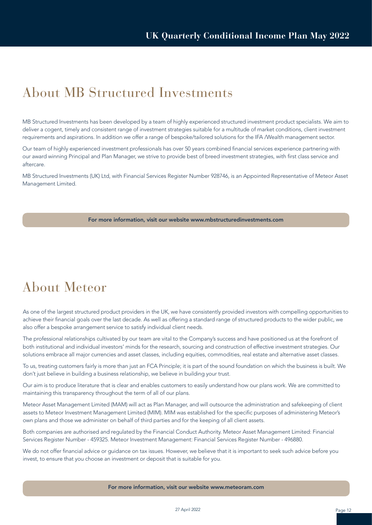### About MB Structured Investments

MB Structured Investments has been developed by a team of highly experienced structured investment product specialists. We aim to deliver a cogent, timely and consistent range of investment strategies suitable for a multitude of market conditions, client investment requirements and aspirations. In addition we offer a range of bespoke/tailored solutions for the IFA /Wealth management sector.

Our team of highly experienced investment professionals has over 50 years combined financial services experience partnering with our award winning Principal and Plan Manager, we strive to provide best of breed investment strategies, with first class service and aftercare.

MB Structured Investments (UK) Ltd, with Financial Services Register Number 928746, is an Appointed Representative of Meteor Asset Management Limited.

#### For more information, visit our website www.mbstructuredinvestments.com

### About Meteor

As one of the largest structured product providers in the UK, we have consistently provided investors with compelling opportunities to achieve their financial goals over the last decade. As well as offering a standard range of structured products to the wider public, we also offer a bespoke arrangement service to satisfy individual client needs.

The professional relationships cultivated by our team are vital to the Company's success and have positioned us at the forefront of both institutional and individual investors' minds for the research, sourcing and construction of effective investment strategies. Our solutions embrace all major currencies and asset classes, including equities, commodities, real estate and alternative asset classes.

To us, treating customers fairly is more than just an FCA Principle; it is part of the sound foundation on which the business is built. We don't just believe in building a business relationship, we believe in building your trust.

Our aim is to produce literature that is clear and enables customers to easily understand how our plans work. We are committed to maintaining this transparency throughout the term of all of our plans.

Meteor Asset Management Limited (MAM) will act as Plan Manager, and will outsource the administration and safekeeping of client assets to Meteor Investment Management Limited (MIM). MIM was established for the specific purposes of administering Meteor's own plans and those we administer on behalf of third parties and for the keeping of all client assets.

Both companies are authorised and regulated by the Financial Conduct Authority. Meteor Asset Management Limited: Financial Services Register Number - 459325. Meteor Investment Management: Financial Services Register Number - 496880.

We do not offer financial advice or guidance on tax issues. However, we believe that it is important to seek such advice before you invest, to ensure that you choose an investment or deposit that is suitable for you.

For more information, visit our website www.meteoram.com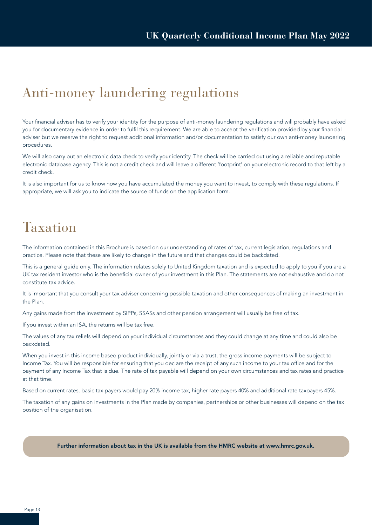### Anti-money laundering regulations

Your financial adviser has to verify your identity for the purpose of anti-money laundering regulations and will probably have asked you for documentary evidence in order to fulfil this requirement. We are able to accept the verification provided by your financial adviser but we reserve the right to request additional information and/or documentation to satisfy our own anti-money laundering procedures.

We will also carry out an electronic data check to verify your identity. The check will be carried out using a reliable and reputable electronic database agency. This is not a credit check and will leave a different 'footprint' on your electronic record to that left by a credit check.

It is also important for us to know how you have accumulated the money you want to invest, to comply with these regulations. If appropriate, we will ask you to indicate the source of funds on the application form.

### Taxation

The information contained in this Brochure is based on our understanding of rates of tax, current legislation, regulations and practice. Please note that these are likely to change in the future and that changes could be backdated.

This is a general guide only. The information relates solely to United Kingdom taxation and is expected to apply to you if you are a UK tax resident investor who is the beneficial owner of your investment in this Plan. The statements are not exhaustive and do not constitute tax advice.

It is important that you consult your tax adviser concerning possible taxation and other consequences of making an investment in the Plan.

Any gains made from the investment by SIPPs, SSASs and other pension arrangement will usually be free of tax.

If you invest within an ISA, the returns will be tax free.

The values of any tax reliefs will depend on your individual circumstances and they could change at any time and could also be backdated.

When you invest in this income based product individually, jointly or via a trust, the gross income payments will be subject to Income Tax. You will be responsible for ensuring that you declare the receipt of any such income to your tax office and for the payment of any Income Tax that is due. The rate of tax payable will depend on your own circumstances and tax rates and practice at that time.

Based on current rates, basic tax payers would pay 20% income tax, higher rate payers 40% and additional rate taxpayers 45%.

The taxation of any gains on investments in the Plan made by companies, partnerships or other businesses will depend on the tax position of the organisation.

#### Further information about tax in the UK is available from the HMRC website at www.hmrc.gov.uk.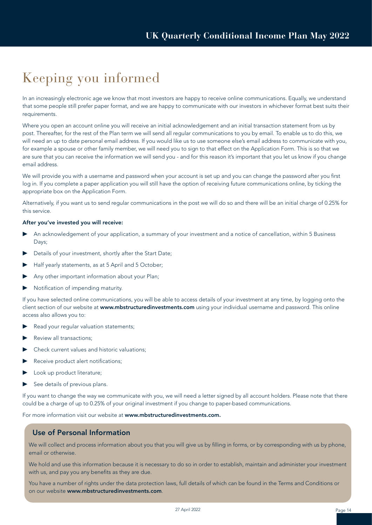### Keeping you informed

In an increasingly electronic age we know that most investors are happy to receive online communications. Equally, we understand that some people still prefer paper format, and we are happy to communicate with our investors in whichever format best suits their requirements.

Where you open an account online you will receive an initial acknowledgement and an initial transaction statement from us by post. Thereafter, for the rest of the Plan term we will send all regular communications to you by email. To enable us to do this, we will need an up to date personal email address. If you would like us to use someone else's email address to communicate with you, for example a spouse or other family member, we will need you to sign to that effect on the Application Form. This is so that we are sure that you can receive the information we will send you - and for this reason it's important that you let us know if you change email address.

We will provide you with a username and password when your account is set up and you can change the password after you first log in. If you complete a paper application you will still have the option of receiving future communications online, by ticking the appropriate box on the Application Form.

Alternatively, if you want us to send regular communications in the post we will do so and there will be an initial charge of 0.25% for this service.

#### After you've invested you will receive:

- ▶ An acknowledgement of your application, a summary of your investment and a notice of cancellation, within 5 Business Days;
- Details of your investment, shortly after the Start Date;
- Half yearly statements, as at 5 April and 5 October;
- Any other important information about your Plan;
- ▶ Notification of impending maturity.

If you have selected online communications, you will be able to access details of your investment at any time, by logging onto the client section of our website at www.mbstructuredinvestments.com using your individual username and password. This online access also allows you to:

- Read your regular valuation statements;
- Review all transactions:
- Check current values and historic valuations;
- Receive product alert notifications;
- Look up product literature;
- See details of previous plans.

If you want to change the way we communicate with you, we will need a letter signed by all account holders. Please note that there could be a charge of up to 0.25% of your original investment if you change to paper-based communications.

For more information visit our website at www.mbstructuredinvestments.com.

#### Use of Personal Information

We will collect and process information about you that you will give us by filling in forms, or by corresponding with us by phone, email or otherwise.

We hold and use this information because it is necessary to do so in order to establish, maintain and administer your investment with us, and pay you any benefits as they are due.

You have a number of rights under the data protection laws, full details of which can be found in the Terms and Conditions or on our website www.mbstructuredinvestments.com.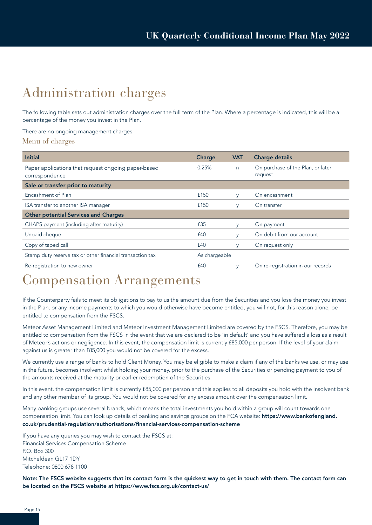### Administration charges

The following table sets out administration charges over the full term of the Plan. Where a percentage is indicated, this will be a percentage of the money you invest in the Plan.

#### There are no ongoing management charges.

Menu of charges

| <b>Initial</b>                                                        | Charge        | <b>VAT</b> | <b>Charge details</b>                        |
|-----------------------------------------------------------------------|---------------|------------|----------------------------------------------|
| Paper applications that request ongoing paper-based<br>correspondence | 0.25%         | n          | On purchase of the Plan, or later<br>request |
| Sale or transfer prior to maturity                                    |               |            |                                              |
| Encashment of Plan                                                    | £150          | y          | On encashment                                |
| ISA transfer to another ISA manager                                   | £150          | V          | On transfer                                  |
| <b>Other potential Services and Charges</b>                           |               |            |                                              |
| CHAPS payment (including after maturity)                              | £35           | y          | On payment                                   |
| Unpaid cheque                                                         | £40           | V          | On debit from our account                    |
| Copy of taped call                                                    | £40           | y          | On request only                              |
| Stamp duty reserve tax or other financial transaction tax             | As chargeable |            |                                              |
| Re-registration to new owner                                          | £40           | V          | On re-registration in our records            |

### Compensation Arrangements

If the Counterparty fails to meet its obligations to pay to us the amount due from the Securities and you lose the money you invest in the Plan, or any income payments to which you would otherwise have become entitled, you will not, for this reason alone, be entitled to compensation from the FSCS.

Meteor Asset Management Limited and Meteor Investment Management Limited are covered by the FSCS. Therefore, you may be entitled to compensation from the FSCS in the event that we are declared to be 'in default' and you have suffered a loss as a result of Meteor's actions or negligence. In this event, the compensation limit is currently £85,000 per person. If the level of your claim against us is greater than £85,000 you would not be covered for the excess.

We currently use a range of banks to hold Client Money. You may be eligible to make a claim if any of the banks we use, or may use in the future, becomes insolvent whilst holding your money, prior to the purchase of the Securities or pending payment to you of the amounts received at the maturity or earlier redemption of the Securities.

In this event, the compensation limit is currently £85,000 per person and this applies to all deposits you hold with the insolvent bank and any other member of its group. You would not be covered for any excess amount over the compensation limit.

Many banking groups use several brands, which means the total investments you hold within a group will count towards one compensation limit. You can look up details of banking and savings groups on the FCA website: https://www.bankofengland. co.uk/prudential-regulation/authorisations/financial-services-compensation-scheme

If you have any queries you may wish to contact the FSCS at: Financial Services Compensation Scheme P.O. Box 300 Mitcheldean GL17 1DY Telephone: 0800 678 1100

Note: The FSCS website suggests that its contact form is the quickest way to get in touch with them. The contact form can be located on the FSCS website at https://www.fscs.org.uk/contact-us/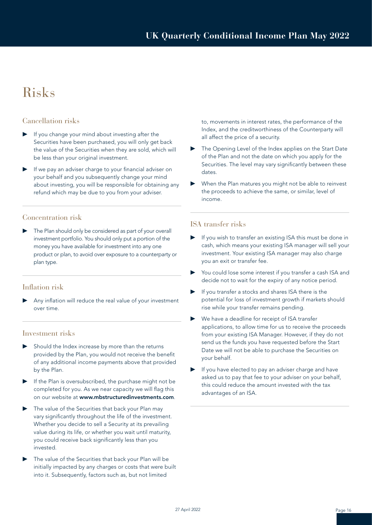### Risks

#### Cancellation risks

- If you change your mind about investing after the Securities have been purchased, you will only get back the value of the Securities when they are sold, which will be less than your original investment.
- If we pay an adviser charge to your financial adviser on your behalf and you subsequently change your mind about investing, you will be responsible for obtaining any refund which may be due to you from your adviser.

#### Concentration risk

The Plan should only be considered as part of your overall investment portfolio. You should only put a portion of the money you have available for investment into any one product or plan, to avoid over exposure to a counterparty or plan type.

#### Inflation risk

Any inflation will reduce the real value of your investment over time.

#### Investment risks

- Should the Index increase by more than the returns provided by the Plan, you would not receive the benefit of any additional income payments above that provided by the Plan.
- ▶ If the Plan is oversubscribed, the purchase might not be completed for you. As we near capacity we will flag this on our website at www.mbstructuredinvestments.com.
- The value of the Securities that back your Plan may vary significantly throughout the life of the investment. Whether you decide to sell a Security at its prevailing value during its life, or whether you wait until maturity, you could receive back significantly less than you invested.
- ▶ The value of the Securities that back your Plan will be initially impacted by any charges or costs that were built into it. Subsequently, factors such as, but not limited

to, movements in interest rates, the performance of the Index, and the creditworthiness of the Counterparty will all affect the price of a security.

- The Opening Level of the Index applies on the Start Date of the Plan and not the date on which you apply for the Securities. The level may vary significantly between these dates.
- When the Plan matures you might not be able to reinvest the proceeds to achieve the same, or similar, level of income.

#### ISA transfer risks

- ▶ If you wish to transfer an existing ISA this must be done in cash, which means your existing ISA manager will sell your investment. Your existing ISA manager may also charge you an exit or transfer fee.
- You could lose some interest if you transfer a cash ISA and decide not to wait for the expiry of any notice period.
- ▶ If you transfer a stocks and shares ISA there is the potential for loss of investment growth if markets should rise while your transfer remains pending.
- We have a deadline for receipt of ISA transfer applications, to allow time for us to receive the proceeds from your existing ISA Manager. However, if they do not send us the funds you have requested before the Start Date we will not be able to purchase the Securities on your behalf.
- If you have elected to pay an adviser charge and have asked us to pay that fee to your adviser on your behalf, this could reduce the amount invested with the tax advantages of an ISA.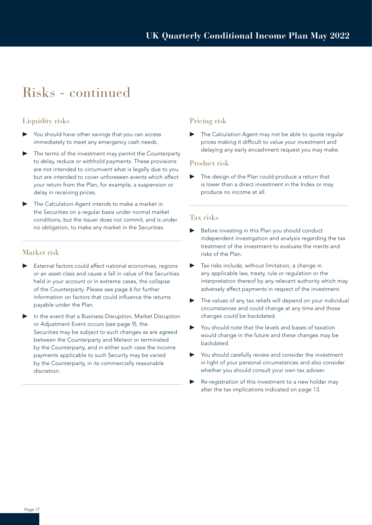### Risks - continued

#### Liquidity risks

- You should have other savings that you can access immediately to meet any emergency cash needs.
- The terms of the investment may permit the Counterparty to delay, reduce or withhold payments. These provisions are not intended to circumvent what is legally due to you but are intended to cover unforeseen events which affect your return from the Plan, for example, a suspension or delay in receiving prices.
- The Calculation Agent intends to make a market in the Securities on a regular basis under normal market conditions, but the Issuer does not commit, and is under no obligation, to make any market in the Securities.

#### Market risk

- External factors could affect national economies, regions or an asset class and cause a fall in value of the Securities held in your account or in extreme cases, the collapse of the Counterparty. Please see page 6 for further information on factors that could influence the returns payable under the Plan.
- In the event that a Business Disruption, Market Disruption or Adjustment Event occurs (see page 9), the Securities may be subject to such changes as are agreed between the Counterparty and Meteor or terminated by the Counterparty, and in either such case the income payments applicable to such Security may be varied by the Counterparty, in its commercially reasonable discretion.

#### Pricing risk

The Calculation Agent may not be able to quote regular prices making it difficult to value your investment and delaying any early encashment request you may make.

#### Product risk

The design of the Plan could produce a return that is lower than a direct investment in the Index or may produce no income at all.

#### Tax risks

- ▶ Before investing in this Plan you should conduct independent investigation and analysis regarding the tax treatment of the investment to evaluate the merits and risks of the Plan.
- ▶ Tax risks include, without limitation, a change in any applicable law, treaty, rule or regulation or the interpretation thereof by any relevant authority which may adversely affect payments in respect of the investment.
- The values of any tax reliefs will depend on your individual circumstances and could change at any time and those changes could be backdated.
- You should note that the levels and bases of taxation would change in the future and these changes may be backdated.
- You should carefully review and consider the investment in light of your personal circumstances and also consider whether you should consult your own tax adviser.
- ▶ Re-registration of this investment to a new holder may alter the tax implications indicated on page 13.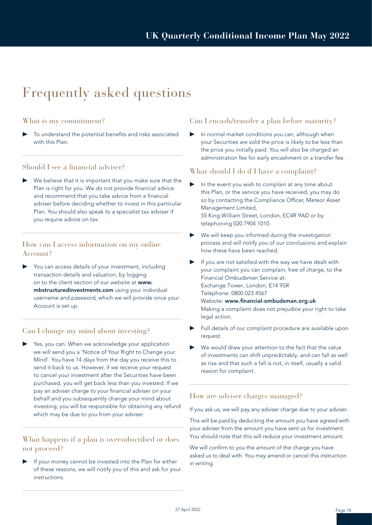### Frequently asked questions

#### What is my commitment?

To understand the potential benefits and risks associated with this Plan.

#### Should I see a financial adviser?

We believe that it is important that you make sure that the Plan is right for you. We do not provide financial advice and recommend that you take advice from a financial adviser before deciding whether to invest in this particular Plan. You should also speak to a specialist tax adviser if you require advice on tax.

#### How can I access information on my online Account?

You can access details of your investment, including transaction details and valuation, by logging on to the client section of our website at www. mbstructuredinvestments.com using your individual username and password, which we will provide once your Account is set up.

#### Can I change my mind about investing?

Yes, you can. When we acknowledge your application we will send you a 'Notice of Your Right to Change your Mind'. You have 14 days from the day you receive this to send it back to us. However, if we receive your request to cancel your investment after the Securities have been purchased, you will get back less than you invested. If we pay an adviser charge to your financial adviser on your behalf and you subsequently change your mind about investing, you will be responsible for obtaining any refund which may be due to you from your adviser.

#### What happens if a plan is oversubscribed or does not proceed?

If your money cannot be invested into the Plan for either of these reasons, we will notify you of this and ask for your instructions.

#### Can I encash/transfer a plan before maturity?

▶ In normal market conditions you can, although when your Securities are sold the price is likely to be less than the price you initially paid. You will also be charged an administration fee for early encashment or a transfer fee.

#### What should I do if I have a complaint?

- ▶ In the event you wish to complain at any time about this Plan, or the service you have received, you may do so by contacting the Compliance Officer, Meteor Asset Management Limited, 55 King William Street, London, EC4R 9AD or by telephoning 020 7904 1010.
- We will keep you informed during the investigation process and will notify you of our conclusions and explain how these have been reached.
- If you are not satisfied with the way we have dealt with your complaint you can complain, free of charge, to the Financial Ombudsman Service at: Exchange Tower, London, E14 9SR Telephone: 0800 023 4567 Website: www.financial-ombudsman.org.uk Making a complaint does not prejudice your right to take legal action.
- Full details of our complaint procedure are available upon request.
- We would draw your attention to the fact that the value of investments can shift unpredictably, and can fall as well as rise and that such a fall is not, in itself, usually a valid reason for complaint.

#### How are adviser charges managed?

If you ask us, we will pay any adviser charge due to your adviser.

This will be paid by deducting the amount you have agreed with your adviser from the amount you have sent us for investment. You should note that this will reduce your investment amount.

We will confirm to you the amount of the charge you have asked us to deal with. You may amend or cancel this instruction in writing.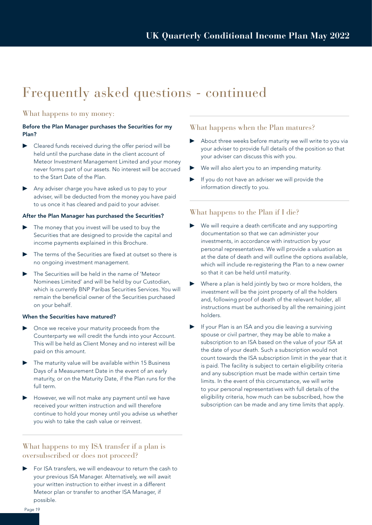### Frequently asked questions - continued

#### What happens to my money:

#### Before the Plan Manager purchases the Securities for my Plan?

- ▶ Cleared funds received during the offer period will be held until the purchase date in the client account of Meteor Investment Management Limited and your money never forms part of our assets. No interest will be accrued to the Start Date of the Plan.
- Any adviser charge you have asked us to pay to your adviser, will be deducted from the money you have paid to us once it has cleared and paid to your adviser.

#### After the Plan Manager has purchased the Securities?

- The money that you invest will be used to buy the Securities that are designed to provide the capital and income payments explained in this Brochure.
- The terms of the Securities are fixed at outset so there is no ongoing investment management.
- The Securities will be held in the name of 'Meteor Nominees Limited' and will be held by our Custodian, which is currently BNP Paribas Securities Services. You will remain the beneficial owner of the Securities purchased on your behalf.

#### When the Securities have matured?

- Once we receive your maturity proceeds from the Counterparty we will credit the funds into your Account. This will be held as Client Money and no interest will be paid on this amount.
- The maturity value will be available within 15 Business Days of a Measurement Date in the event of an early maturity, or on the Maturity Date, if the Plan runs for the full term.
- However, we will not make any payment until we have received your written instruction and will therefore continue to hold your money until you advise us whether you wish to take the cash value or reinvest.

#### What happens to my ISA transfer if a plan is oversubscribed or does not proceed?

For ISA transfers, we will endeavour to return the cash to your previous ISA Manager. Alternatively, we will await your written instruction to either invest in a different Meteor plan or transfer to another ISA Manager, if possible.

#### What happens when the Plan matures?

- ▶ About three weeks before maturity we will write to you via your adviser to provide full details of the position so that your adviser can discuss this with you.
- ▶ We will also alert you to an impending maturity.
- ▶ If you do not have an adviser we will provide the information directly to you.

#### What happens to the Plan if I die?

- We will require a death certificate and any supporting documentation so that we can administer your investments, in accordance with instruction by your personal representatives. We will provide a valuation as at the date of death and will outline the options available, which will include re-registering the Plan to a new owner so that it can be held until maturity.
- ▶ Where a plan is held jointly by two or more holders, the investment will be the joint property of all the holders and, following proof of death of the relevant holder, all instructions must be authorised by all the remaining joint holders.
- If your Plan is an ISA and you die leaving a surviving spouse or civil partner, they may be able to make a subscription to an ISA based on the value of your ISA at the date of your death. Such a subscription would not count towards the ISA subscription limit in the year that it is paid. The facility is subject to certain eligibility criteria and any subscription must be made within certain time limits. In the event of this circumstance, we will write to your personal representatives with full details of the eligibility criteria, how much can be subscribed, how the subscription can be made and any time limits that apply.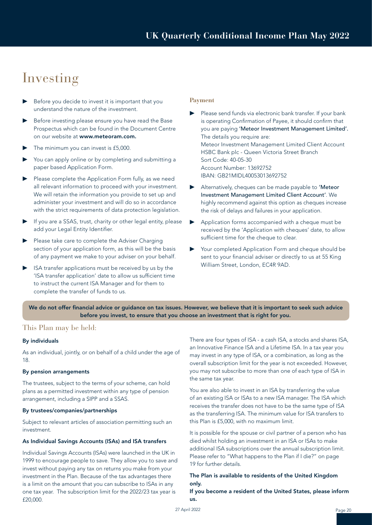### Investing

- ▶ Before you decide to invest it is important that you understand the nature of the investment.
- Before investing please ensure you have read the Base Prospectus which can be found in the Document Centre on our website at www.meteoram.com.
- The minimum you can invest is £5,000.
- You can apply online or by completing and submitting a paper based Application Form.
- Please complete the Application Form fully, as we need all relevant information to proceed with your investment. We will retain the information you provide to set up and administer your investment and will do so in accordance with the strict requirements of data protection legislation.
- If you are a SSAS, trust, charity or other legal entity, please add your Legal Entity Identifier.
- ▶ Please take care to complete the Adviser Charging section of your application form, as this will be the basis of any payment we make to your adviser on your behalf.
- ISA transfer applications must be received by us by the 'ISA transfer application' date to allow us sufficient time to instruct the current ISA Manager and for them to complete the transfer of funds to us.

#### **Payment**

- Please send funds via electronic bank transfer. If your bank is operating Confirmation of Payee, it should confirm that you are paying 'Meteor Investment Management Limited'. The details you require are: Meteor Investment Management Limited Client Account HSBC Bank plc - Queen Victoria Street Branch Sort Code: 40-05-30 Account Number: 13692752 IBAN: GB21MIDL40053013692752
- Alternatively, cheques can be made payable to 'Meteor Investment Management Limited Client Account'. We highly recommend against this option as cheques increase the risk of delays and failures in your application.
- ▶ Application forms accompanied with a cheque must be received by the 'Application with cheques' date, to allow sufficient time for the cheque to clear.
- Your completed Application Form and cheque should be sent to your financial adviser or directly to us at 55 King William Street, London, EC4R 9AD.

We do not offer financial advice or guidance on tax issues. However, we believe that it is important to seek such advice before you invest, to ensure that you choose an investment that is right for you.

#### This Plan may be held:

#### By individuals

As an individual, jointly, or on behalf of a child under the age of 18.

#### By pension arrangements

The trustees, subject to the terms of your scheme, can hold plans as a permitted investment within any type of pension arrangement, including a SIPP and a SSAS.

#### By trustees/companies/partnerships

Subject to relevant articles of association permitting such an investment.

#### As Individual Savings Accounts (ISAs) and ISA transfers

Individual Savings Accounts (ISAs) were launched in the UK in 1999 to encourage people to save. They allow you to save and invest without paying any tax on returns you make from your investment in the Plan. Because of the tax advantages there is a limit on the amount that you can subscribe to ISAs in any one tax year. The subscription limit for the 2022/23 tax year is £20,000.

There are four types of ISA - a cash ISA, a stocks and shares ISA, an Innovative Finance ISA and a Lifetime ISA. In a tax year you may invest in any type of ISA, or a combination, as long as the overall subscription limit for the year is not exceeded. However, you may not subscribe to more than one of each type of ISA in the same tax year.

You are also able to invest in an ISA by transferring the value of an existing ISA or ISAs to a new ISA manager. The ISA which receives the transfer does not have to be the same type of ISA as the transferring ISA. The minimum value for ISA transfers to this Plan is £5,000, with no maximum limit.

It is possible for the spouse or civil partner of a person who has died whilst holding an investment in an ISA or ISAs to make additional ISA subscriptions over the annual subscription limit. Please refer to "What happens to the Plan if I die?" on page 19 for further details.

#### The Plan is available to residents of the United Kingdom only.

If you become a resident of the United States, please inform us.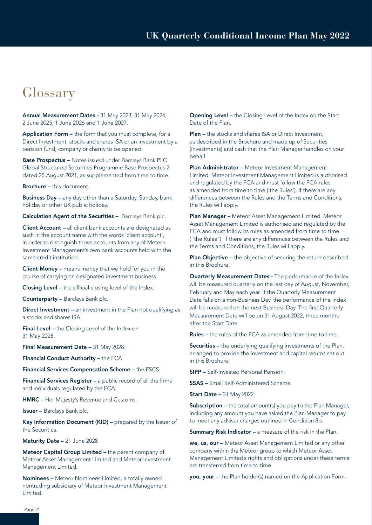### Glossary

Annual Measurement Dates - 31 May 2023, 31 May 2024, 2 June 2025, 1 June 2026 and 1 June 2027.

Application Form – the form that you must complete, for a Direct Investment, stocks and shares ISA or an investment by a pension fund, company or charity to be opened.

Base Prospectus – Notes issued under Barclays Bank PLC Global Structured Securities Programme Base Prospectus 2 dated 25 August 2021, as supplemented from time to time.

Brochure – this document.

Business Day – any day other than a Saturday, Sunday, bank holiday or other UK public holiday.

Calculation Agent of the Securities – Barclays Bank plc.

Client Account – all client bank accounts are designated as such in the account name with the words 'client account', in order to distinguish those accounts from any of Meteor Investment Management's own bank accounts held with the same credit institution.

Client Money – means money that we hold for you in the course of carrying on designated investment business.

Closing Level – the official closing level of the Index.

Counterparty – Barclays Bank plc.

Direct Investment – an investment in the Plan not qualifying as a stocks and shares ISA.

Final Level – the Closing Level of the Index on 31 May 2028.

Final Measurement Date - 31 May 2028.

Financial Conduct Authority – the FCA.

Financial Services Compensation Scheme – the FSCS.

Financial Services Register – a public record of all the firms and individuals regulated by the FCA.

HMRC – Her Majesty's Revenue and Customs.

Issuer – Barclays Bank plc.

Key Information Document (KID) – prepared by the Issuer of the Securities.

Maturity Date – 21 June 2028

Meteor Capital Group Limited – the parent company of Meteor Asset Management Limited and Meteor Investment Management Limited.

Nominees – Meteor Nominees Limited, a totally owned nontrading subsidiary of Meteor Investment Management Limited.

Opening Level – the Closing Level of the Index on the Start Date of the Plan.

Plan – the stocks and shares ISA or Direct Investment. as described in the Brochure and made up of Securities (investments) and cash that the Plan Manager handles on your behalf.

Plan Administrator - Meteor Investment Management Limited. Meteor Investment Management Limited is authorised and regulated by the FCA and must follow the FCA rules as amended from time to time ('the Rules'). If there are any differences between the Rules and the Terms and Conditions, the Rules will apply.

Plan Manager – Meteor Asset Management Limited. Meteor Asset Management Limited is authorised and regulated by the FCA and must follow its rules as amended from time to time ("the Rules"). If there are any differences between the Rules and the Terms and Conditions, the Rules will apply.

Plan Objective - the objective of securing the return described in this Brochure.

Quarterly Measurement Dates - The performance of the Index will be measured quarterly on the last day of August, November, February and May each year. If the Quarterly Measurement Date falls on a non-Business Day, the performance of the Index will be measured on the next Business Day. The first Quarterly Measurement Date will be on 31 August 2022, three months after the Start Date.

Rules – the rules of the FCA as amended from time to time.

Securities – the underlying qualifying investments of the Plan, arranged to provide the investment and capital returns set out in this Brochure.

SIPP – Self-Invested Personal Pension.

SSAS – Small Self-Administered Scheme.

Start Date – 31 May 2022.

Subscription – the total amount(s) you pay to the Plan Manager, including any amount you have asked the Plan Manager to pay to meet any adviser charges outlined in Condition 8b.

Summary Risk Indicator - a measure of the risk in the Plan.

we, us, our – Meteor Asset Management Limited or any other company within the Meteor group to which Meteor Asset Management Limited's rights and obligations under these terms are transferred from time to time.

you, your – the Plan holder(s) named on the Application Form.